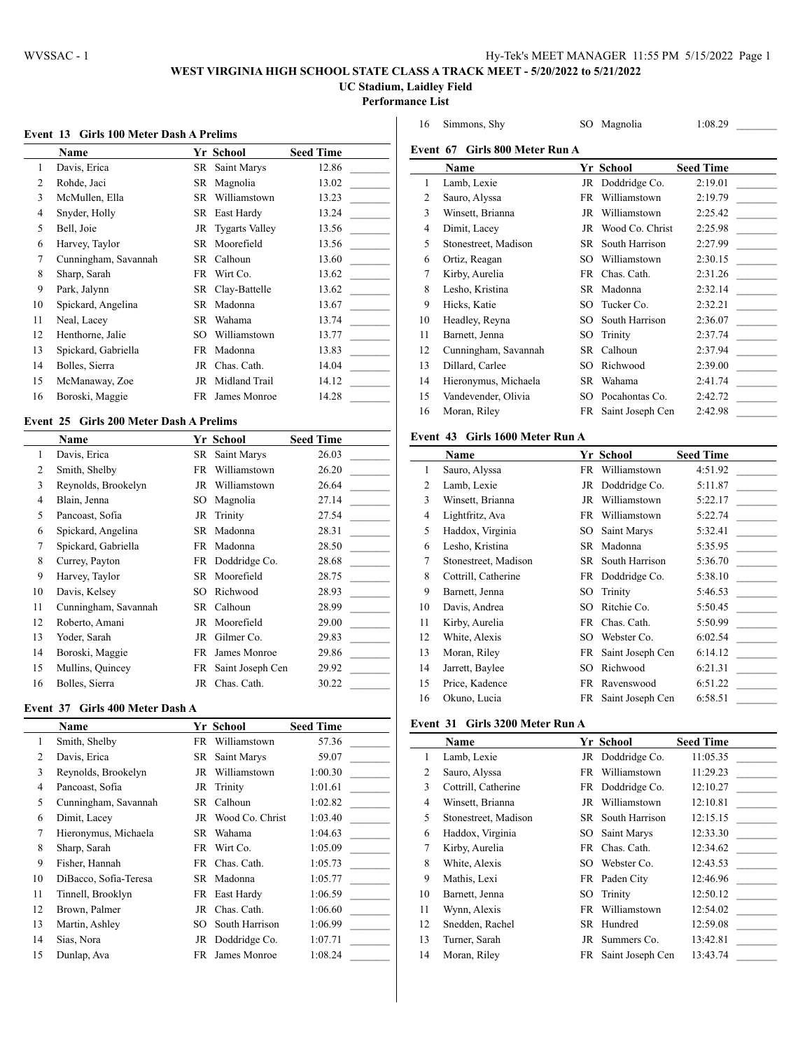$\overline{a}$ 

# **WEST VIRGINIA HIGH SCHOOL STATE CLASS A TRACK MEET - 5/20/2022 to 5/21/2022**

**UC Stadium, Laidley Field**

**Performance List**

#### **Event 13 Girls 100 Meter Dash A Prelims**

|                | <b>Name</b>          |     | Yr School         | <b>Seed Time</b> |
|----------------|----------------------|-----|-------------------|------------------|
| 1              | Davis, Erica         |     | SR Saint Marys    | 12.86            |
| $\overline{c}$ | Rohde, Jaci          | SR  | Magnolia          | 13.02            |
| 3              | McMullen, Ella       |     | SR Williamstown   | 13.23            |
| $\overline{4}$ | Snyder, Holly        |     | SR East Hardy     | 13.24            |
| 5              | Bell, Joie           |     | JR Tygarts Valley | 13.56            |
| 6              | Harvey, Taylor       | SR. | Moorefield        | 13.56            |
| 7              | Cunningham, Savannah |     | SR Calhoun        | 13.60            |
| 8              | Sharp, Sarah         |     | FR Wirt Co.       | 13.62            |
| 9              | Park, Jalynn         |     | SR Clay-Battelle  | 13.62            |
| 10             | Spickard, Angelina   | SR  | Madonna           | 13.67            |
| 11             | Neal, Lacey          | SR  | Wahama            | 13.74            |
| 12             | Henthorne, Jalie     | SО  | Williamstown      | 13.77            |
| 13             | Spickard, Gabriella  | FR  | Madonna           | 13.83            |
| 14             | Bolles, Sierra       |     | JR Chas. Cath.    | 14.04            |
| 15             | McManaway, Zoe       | JR  | Midland Trail     | 14.12            |
| 16             | Boroski, Maggie      | FR  | James Monroe      | 14.28            |

### **Event 25 Girls 200 Meter Dash A Prelims**

|    | Name                 |     | Yr School        | <b>Seed Time</b> |
|----|----------------------|-----|------------------|------------------|
| 1  | Davis, Erica         | SR  | Saint Marys      | 26.03            |
| 2  | Smith, Shelby        | FR  | Williamstown     | 26.20            |
| 3  | Reynolds, Brookelyn  | JR  | Williamstown     | 26.64            |
| 4  | Blain, Jenna         | SО  | Magnolia         | 27.14            |
| 5  | Pancoast, Sofia      | JR  | Trinity          | 27.54            |
| 6  | Spickard, Angelina   | SR  | Madonna          | 28.31            |
| 7  | Spickard, Gabriella  | FR  | Madonna          | 28.50            |
| 8  | Currey, Payton       |     | FR Doddridge Co. | 28.68            |
| 9  | Harvey, Taylor       | SR  | Moorefield       | 28.75            |
| 10 | Davis, Kelsey        | SO  | Richwood         | 28.93            |
| 11 | Cunningham, Savannah | SR  | Calhoun          | 28.99            |
| 12 | Roberto, Amani       | JR  | Moorefield       | 29.00            |
| 13 | Yoder, Sarah         | JR  | Gilmer Co.       | 29.83            |
| 14 | Boroski, Maggie      | FR. | James Monroe     | 29.86            |
| 15 | Mullins, Quincey     | FR  | Saint Joseph Cen | 29.92            |
| 16 | Bolles, Sierra       | JR  | Chas. Cath.      | 30.22            |

#### **Event 37 Girls 400 Meter Dash A**

|                | <b>Name</b>           |     | Yr School          | <b>Seed Time</b> |
|----------------|-----------------------|-----|--------------------|------------------|
| 1              | Smith, Shelby         |     | FR Williamstown    | 57.36            |
| $\overline{c}$ | Davis, Erica          | SR  | Saint Marys        | 59.07            |
| 3              | Reynolds, Brookelyn   | JR  | Williamstown       | 1:00.30          |
| 4              | Pancoast, Sofia       |     | JR Trinity         | 1:01.61          |
| 5              | Cunningham, Savannah  |     | SR Calhoun         | 1:02.82          |
| 6              | Dimit, Lacey          |     | JR Wood Co. Christ | 1:03.40          |
| 7              | Hieronymus, Michaela  | SR  | Wahama             | 1:04.63          |
| 8              | Sharp, Sarah          |     | FR Wirt Co.        | 1:05.09          |
| 9              | Fisher, Hannah        |     | FR Chas. Cath.     | 1:05.73          |
| 10             | DiBacco, Sofia-Teresa |     | SR Madonna         | 1:05.77          |
| 11             | Tinnell, Brooklyn     |     | FR East Hardy      | 1:06.59          |
| 12             | Brown, Palmer         |     | JR Chas. Cath.     | 1:06.60          |
| 13             | Martin, Ashley        | SO. | South Harrison     | 1:06.99          |
| 14             | Sias, Nora            |     | JR Doddridge Co.   | 1:07.71          |
| 15             | Dunlap, Ava           | FR. | James Monroe       | 1:08.24          |

| 16 | Simmons, Shy                     | SO | Magnolia         | 1:08.29          |
|----|----------------------------------|----|------------------|------------------|
|    | Event 67 - Girls 800 Meter Run A |    |                  |                  |
|    | Name                             |    | Yr School        | <b>Seed Time</b> |
| 1  | Lamb, Lexie                      |    | JR Doddridge Co. | 2:19.01          |
| 2  | Sauro, Alyssa                    | FR | Williamstown     | 2:19.79          |
| 3  | Winsett, Brianna                 | JR | Williamstown     | 2:25.42          |
| 4  | Dimit, Lacey                     | JR | Wood Co. Christ  | 2:25.98          |
| 5  | Stonestreet, Madison             | SR | South Harrison   | 2:27.99          |
| 6  | Ortiz, Reagan                    | SO | Williamstown     | 2:30.15          |
| 7  | Kirby, Aurelia                   | FR | Chas. Cath.      | 2:31.26          |
| 8  | Lesho, Kristina                  | SR | Madonna          | 2:32.14          |
| 9  | Hicks, Katie                     | SО | Tucker Co.       | 2:32.21          |
| 10 | Headley, Reyna                   | SO | South Harrison   | 2:36.07          |
| 11 | Barnett, Jenna                   | SO | Trinity          | 2:37.74          |
| 12 | Cunningham, Savannah             | SR | Calhoun          | 2:37.94          |
| 13 | Dillard, Carlee                  | SO | Richwood         | 2:39.00          |
| 14 | Hieronymus, Michaela             | SR | Wahama           | 2:41.74          |
| 15 | Vandevender, Olivia              | SO | Pocahontas Co.   | 2:42.72          |
| 16 | Moran, Riley                     | FR | Saint Joseph Cen | 2:42.98          |
|    |                                  |    |                  |                  |

### **Event 43 Girls 1600 Meter Run A**

|                | Name                 |     | Yr School         | <b>Seed Time</b> |
|----------------|----------------------|-----|-------------------|------------------|
| 1              | Sauro, Alyssa        | FR  | Williamstown      | 4:51.92          |
| $\overline{c}$ | Lamb, Lexie          | JR  | Doddridge Co.     | 5:11.87          |
| 3              | Winsett, Brianna     | JR  | Williamstown      | 5:22.17          |
| 4              | Lightfritz, Ava      | FR  | Williamstown      | 5:22.74          |
| 5              | Haddox, Virginia     | SO. | Saint Marys       | 5:32.41          |
| 6              | Lesho, Kristina      | SR  | Madonna           | 5:35.95          |
| 7              | Stonestreet, Madison |     | SR South Harrison | 5:36.70          |
| 8              | Cottrill, Catherine  | FR  | Doddridge Co.     | 5:38.10          |
| 9              | Barnett, Jenna       | SO  | Trinity           | 5:46.53          |
| 10             | Davis, Andrea        | SO. | Ritchie Co.       | 5:50.45          |
| 11             | Kirby, Aurelia       | FR  | Chas. Cath.       | 5:50.99          |
| 12             | White, Alexis        | SO  | Webster Co.       | 6:02.54          |
| 13             | Moran, Riley         | FR  | Saint Joseph Cen  | 6:14.12          |
| 14             | Jarrett, Baylee      | SO. | Richwood          | 6:21.31          |
| 15             | Price, Kadence       | FR  | Ravenswood        | 6:51.22          |
| 16             | Okuno, Lucia         | FR  | Saint Joseph Cen  | 6:58.51          |

#### **Event 31 Girls 3200 Meter Run A**

|    | <b>Name</b>          |     | Yr School         | <b>Seed Time</b> |
|----|----------------------|-----|-------------------|------------------|
| 1  | Lamb, Lexie          |     | JR Doddridge Co.  | 11:05.35         |
| 2  | Sauro, Alyssa        | FR  | Williamstown      | 11:29.23         |
| 3  | Cottrill, Catherine  |     | FR Doddridge Co.  | 12:10.27         |
| 4  | Winsett, Brianna     | JR  | Williamstown      | 12:10.81         |
| 5  | Stonestreet, Madison |     | SR South Harrison | 12:15.15         |
| 6  | Haddox, Virginia     |     | SO Saint Marvs    | 12:33.30         |
| 7  | Kirby, Aurelia       | FR. | Chas. Cath.       | 12:34.62         |
| 8  | White, Alexis        | SO. | Webster Co.       | 12:43.53         |
| 9  | Mathis, Lexi         | FR. | Paden City        | 12:46.96         |
| 10 | Barnett, Jenna       |     | SO Trinity        | 12:50.12         |
| 11 | Wynn, Alexis         | FR  | Williamstown      | 12:54.02         |
| 12 | Snedden, Rachel      | SR  | Hundred           | 12:59.08         |
| 13 | Turner, Sarah        | JR  | Summers Co.       | 13:42.81         |
| 14 | Moran, Riley         | FR  | Saint Joseph Cen  | 13:43.74         |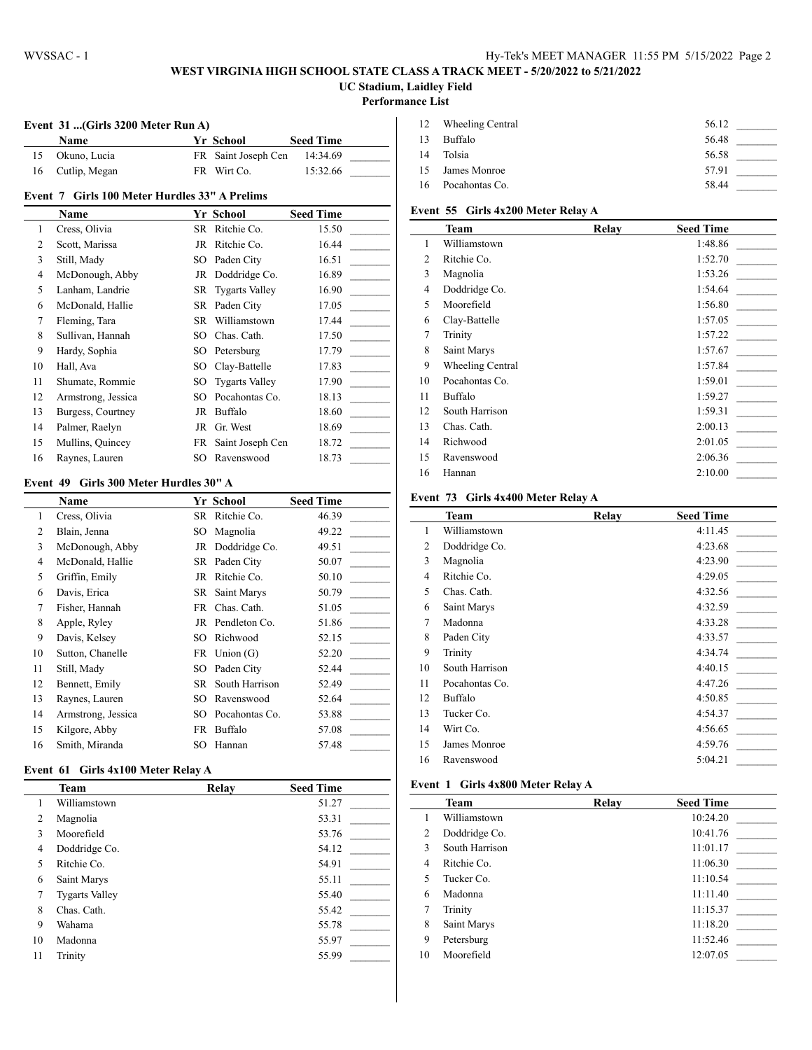#### **WEST VIRGINIA HIGH SCHOOL STATE CLASS A TRACK MEET - 5/20/2022 to 5/21/2022 UC Stadium, Laidley Field**

#### **Performance List**

 $\overline{a}$ 

 $\overline{a}$ 

#### **Event 31 ...(Girls 3200 Meter Run A)**

|    | Name          | <b>Yr School</b>    | <b>Seed Time</b> |  |
|----|---------------|---------------------|------------------|--|
|    | Okuno. Lucia  | FR Saint Joseph Cen | 14:34.69         |  |
| 16 | Cutlip, Megan | FR Wirt Co.         | 15:32.66         |  |

### **Event 7 Girls 100 Meter Hurdles 33" A Prelims**

|    | Name               |     | Yr School             | <b>Seed Time</b> |
|----|--------------------|-----|-----------------------|------------------|
| 1  | Cress, Olivia      | SR  | Ritchie Co.           | 15.50            |
| 2  | Scott, Marissa     | JR  | Ritchie Co.           | 16.44            |
| 3  | Still, Mady        |     | SO Paden City         | 16.51            |
| 4  | McDonough, Abby    |     | JR Doddridge Co.      | 16.89            |
| 5  | Lanham, Landrie    |     | SR Tygarts Valley     | 16.90            |
| 6  | McDonald, Hallie   |     | SR Paden City         | 17.05            |
| 7  | Fleming, Tara      |     | SR Williamstown       | 17.44            |
| 8  | Sullivan, Hannah   |     | SO Chas. Cath.        | 17.50            |
| 9  | Hardy, Sophia      |     | SO Petersburg         | 17.79            |
| 10 | Hall, Ava          | SO. | Clay-Battelle         | 17.83            |
| 11 | Shumate, Rommie    | SO. | <b>Tygarts Valley</b> | 17.90            |
| 12 | Armstrong, Jessica | SО  | Pocahontas Co.        | 18.13            |
| 13 | Burgess, Courtney  | JR  | Buffalo               | 18.60            |
| 14 | Palmer, Raelyn     | JR  | Gr. West              | 18.69            |
| 15 | Mullins, Quincey   | FR  | Saint Joseph Cen      | 18.72            |
| 16 | Raynes, Lauren     | SО  | Ravenswood            | 18.73            |

#### **Event 49 Girls 300 Meter Hurdles 30" A**

|    | Name               |     | Yr School        | <b>Seed Time</b> |
|----|--------------------|-----|------------------|------------------|
| 1  | Cress, Olivia      | SR  | Ritchie Co.      | 46.39            |
| 2  | Blain, Jenna       | SО  | Magnolia         | 49.22            |
| 3  | McDonough, Abby    |     | JR Doddridge Co. | 49.51            |
| 4  | McDonald, Hallie   |     | SR Paden City    | 50.07            |
| 5  | Griffin, Emily     | JR  | Ritchie Co.      | 50.10            |
| 6  | Davis, Erica       |     | SR Saint Marys   | 50.79            |
| 7  | Fisher, Hannah     |     | FR Chas. Cath.   | 51.05            |
| 8  | Apple, Ryley       |     | JR Pendleton Co. | 51.86            |
| 9  | Davis, Kelsey      | SO. | Richwood         | 52.15            |
| 10 | Sutton, Chanelle   |     | FR Union (G)     | 52.20            |
| 11 | Still, Mady        | SO. | Paden City       | 52.44            |
| 12 | Bennett, Emily     | SR  | South Harrison   | 52.49            |
| 13 | Raynes, Lauren     | SО  | Ravenswood       | 52.64            |
| 14 | Armstrong, Jessica | SO. | Pocahontas Co.   | 53.88            |
| 15 | Kilgore, Abby      | FR  | Buffalo          | 57.08            |
| 16 | Smith, Miranda     | SО  | Hannan           | 57.48            |

#### **Event 61 Girls 4x100 Meter Relay A**

|    | <b>Team</b>           | Relay | <b>Seed Time</b> |
|----|-----------------------|-------|------------------|
| 1  | Williamstown          |       | 51.27            |
| 2  | Magnolia              |       | 53.31            |
| 3  | Moorefield            |       | 53.76            |
| 4  | Doddridge Co.         |       | 54.12            |
| 5  | Ritchie Co.           |       | 54.91            |
| 6  | Saint Marys           |       | 55.11            |
| 7  | <b>Tygarts Valley</b> |       | 55.40            |
| 8  | Chas. Cath.           |       | 55.42            |
| 9  | Wahama                |       | 55.78            |
| 10 | Madonna               |       | 55.97            |
| 11 | Trinity               |       | 55.99            |

|    | 12 Wheeling Central | 56.12 |  |
|----|---------------------|-------|--|
| 13 | Buffalo             | 56.48 |  |
| 14 | Tolsia              | 56.58 |  |
|    | 15 James Monroe     | 57.91 |  |
|    | 16 Pocahontas Co.   | 58.44 |  |

# **Event 55 Girls 4x200 Meter Relay A**

|    | Team                    | Relay | <b>Seed Time</b> |
|----|-------------------------|-------|------------------|
| 1  | Williamstown            |       | 1:48.86          |
| 2  | Ritchie Co.             |       | 1:52.70          |
| 3  | Magnolia                |       | 1:53.26          |
| 4  | Doddridge Co.           |       | 1:54.64          |
| 5  | Moorefield              |       | 1:56.80          |
| 6  | Clay-Battelle           |       | 1:57.05          |
| 7  | Trinity                 |       | 1:57.22          |
| 8  | Saint Marys             |       | 1:57.67          |
| 9  | <b>Wheeling Central</b> |       | 1:57.84          |
| 10 | Pocahontas Co.          |       | 1:59.01          |
| 11 | Buffalo                 |       | 1:59.27          |
| 12 | South Harrison          |       | 1:59.31          |
| 13 | Chas. Cath.             |       | 2:00.13          |
| 14 | Richwood                |       | 2:01.05          |
| 15 | Ravenswood              |       | 2:06.36          |
| 16 | Hannan                  |       | 2:10.00          |

#### **Event 73 Girls 4x400 Meter Relay A**

|                | Team           | Relay | <b>Seed Time</b> |
|----------------|----------------|-------|------------------|
| 1              | Williamstown   |       | 4:11.45          |
| 2              | Doddridge Co.  |       | 4:23.68          |
| 3              | Magnolia       |       | 4:23.90          |
| $\overline{4}$ | Ritchie Co.    |       | 4:29.05          |
| 5              | Chas. Cath.    |       | 4:32.56          |
| 6              | Saint Marys    |       | 4:32.59          |
| 7              | Madonna        |       | 4:33.28          |
| 8              | Paden City     |       | 4:33.57          |
| 9              | Trinity        |       | 4:34.74          |
| 10             | South Harrison |       | 4:40.15          |
| 11             | Pocahontas Co. |       | 4:47.26          |
| 12             | Buffalo        |       | 4:50.85          |
| 13             | Tucker Co.     |       | 4:54.37          |
| 14             | Wirt Co.       |       | 4:56.65          |
| 15             | James Monroe   |       | 4:59.76          |
| 16             | Ravenswood     |       | 5:04.21          |

#### **Event 1 Girls 4x800 Meter Relay A**

|    | <b>Team</b>    | Relay | <b>Seed Time</b> |
|----|----------------|-------|------------------|
| 1  | Williamstown   |       | 10:24.20         |
| 2  | Doddridge Co.  |       | 10:41.76         |
| 3  | South Harrison |       | 11:01.17         |
| 4  | Ritchie Co.    |       | 11:06.30         |
| 5  | Tucker Co.     |       | 11:10.54         |
| 6  | Madonna        |       | 11:11.40         |
| 7  | Trinity        |       | 11:15.37         |
| 8  | Saint Marys    |       | 11:18.20         |
| 9  | Petersburg     |       | 11:52.46         |
| 10 | Moorefield     |       | 12:07.05         |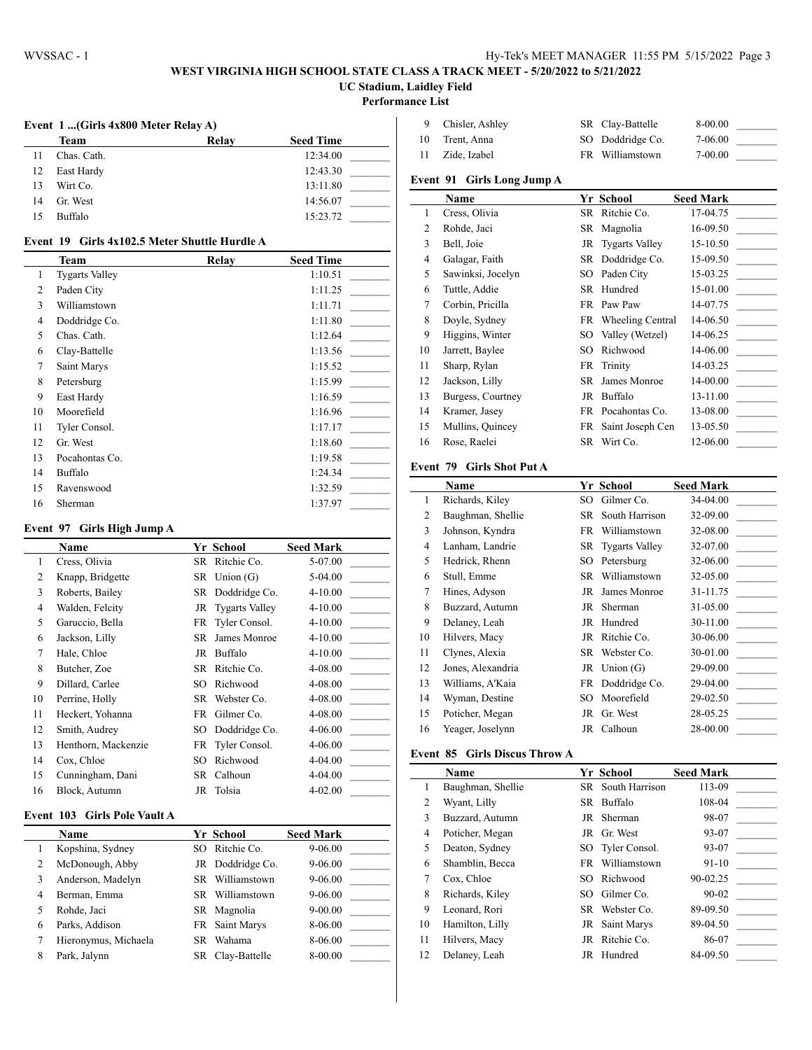### **WEST VIRGINIA HIGH SCHOOL STATE CLASS A TRACK MEET - 5/20/2022 to 5/21/2022 UC Stadium, Laidley Field**

**Performance List**

# **Event 1 ...(Girls 4x800 Meter Relay A)**

|    | <b>Team</b> | Relay | <b>Seed Time</b> |
|----|-------------|-------|------------------|
| 11 | Chas. Cath. |       | 12:34.00         |
| 12 | East Hardy  |       | 12:43.30         |
| 13 | Wirt Co.    |       | 13:11.80         |
| 14 | Gr. West    |       | 14:56.07         |
| 15 | Buffalo     |       | 15:23.72         |

### **Event 19 Girls 4x102.5 Meter Shuttle Hurdle A**

|    | <b>Team</b>           | Relay | <b>Seed Time</b> |
|----|-----------------------|-------|------------------|
| 1  | <b>Tygarts Valley</b> |       | 1:10.51          |
| 2  | Paden City            |       | 1:11.25          |
| 3  | Williamstown          |       | 1:11.71          |
| 4  | Doddridge Co.         |       | 1:11.80          |
| 5  | Chas. Cath.           |       | 1:12.64          |
| 6  | Clay-Battelle         |       | 1:13.56          |
| 7  | Saint Marys           |       | 1:15.52          |
| 8  | Petersburg            |       | 1:15.99          |
| 9  | East Hardy            |       | 1:16.59          |
| 10 | Moorefield            |       | 1:16.96          |
| 11 | Tyler Consol.         |       | 1:17.17          |
| 12 | Gr. West              |       | 1:18.60          |
| 13 | Pocahontas Co.        |       | 1:19.58          |
| 14 | Buffalo               |       | 1:24.34          |
| 15 | Ravenswood            |       | 1:32.59          |
| 16 | Sherman               |       | 1:37.97          |

#### **Event 97 Girls High Jump A**

|                | Name                |     | Yr School             | <b>Seed Mark</b> |
|----------------|---------------------|-----|-----------------------|------------------|
| 1              | Cress, Olivia       |     | SR Ritchie Co.        | 5-07.00          |
| $\overline{2}$ | Knapp, Bridgette    |     | $SR$ Union $(G)$      | 5-04.00          |
| 3              | Roberts, Bailey     |     | SR Doddridge Co.      | 4-10.00          |
| $\overline{4}$ | Walden, Felcity     | JR  | <b>Tygarts Valley</b> | 4-10.00          |
| 5              | Garuccio, Bella     |     | FR Tyler Consol.      | $4 - 10.00$      |
| 6              | Jackson, Lilly      | SR  | James Monroe          | $4 - 10.00$      |
| 7              | Hale, Chloe         |     | JR Buffalo            | $4 - 10.00$      |
| 8              | Butcher, Zoe        | SR  | Ritchie Co.           | 4-08.00          |
| 9              | Dillard, Carlee     | SO. | Richwood              | 4-08.00          |
| 10             | Perrine, Holly      |     | SR Webster Co.        | 4-08.00          |
| 11             | Heckert, Yohanna    | FR  | Gilmer Co.            | 4-08.00          |
| 12             | Smith, Audrey       | SO. | Doddridge Co.         | 4-06.00          |
| 13             | Henthorn, Mackenzie |     | FR Tyler Consol.      | 4-06.00          |
| 14             | Cox, Chloe          | SO  | Richwood              | 4-04.00          |
| 15             | Cunningham, Dani    | SR  | Calhoun               | 4-04.00          |
| 16             | Block. Autumn       | JR  | Tolsia                | $4 - 02.00$      |

#### **Event 103 Girls Pole Vault A**

|   | Name                 |     | Yr School        | <b>Seed Mark</b> |  |
|---|----------------------|-----|------------------|------------------|--|
|   | Kopshina, Sydney     | SO. | Ritchie Co.      | 9-06.00          |  |
| 2 | McDonough, Abby      |     | JR Doddridge Co. | 9-06.00          |  |
| 3 | Anderson, Madelyn    |     | SR Williamstown  | 9-06.00          |  |
| 4 | Berman, Emma         |     | SR Williamstown  | $9 - 06.00$      |  |
|   | Rohde, Jaci          |     | SR Magnolia      | $9 - 00.00$      |  |
| 6 | Parks, Addison       |     | FR Saint Marys   | 8-06.00          |  |
| 7 | Hieronymus, Michaela | SR. | Wahama           | 8-06.00          |  |
| 8 | Park, Jalynn         |     | SR Clay-Battelle | 8-00.00          |  |

|      | Chisler, Ashley | SR Clay-Battelle | 8-00.00     |  |
|------|-----------------|------------------|-------------|--|
| -10- | Trent. Anna     | SO Doddridge Co. | 7-06.00     |  |
|      | Zide, Izabel    | FR Williamstown  | $7 - 00.00$ |  |

#### **Event 91 Girls Long Jump A**

|                | Name              |    | Yr School           | <b>Seed Mark</b> |
|----------------|-------------------|----|---------------------|------------------|
| 1              | Cress, Olivia     |    | SR Ritchie Co.      | 17-04.75         |
| 2              | Rohde, Jaci       |    | SR Magnolia         | 16-09.50         |
| 3              | Bell, Joie        |    | JR Tygarts Valley   | 15-10.50         |
| $\overline{4}$ | Galagar, Faith    |    | SR Doddridge Co.    | 15-09.50         |
| 5              | Sawinksi, Jocelyn |    | SO Paden City       | 15-03.25         |
| 6              | Tuttle, Addie     |    | SR Hundred          | 15-01.00         |
| 7              | Corbin, Pricilla  |    | FR Paw Paw          | 14-07.75         |
| 8              | Doyle, Sydney     |    | FR Wheeling Central | 14-06.50         |
| 9              | Higgins, Winter   |    | SO Valley (Wetzel)  | 14-06.25         |
| 10             | Jarrett, Baylee   | SO | Richwood            | 14-06.00         |
| 11             | Sharp, Rylan      |    | FR Trinity          | 14-03.25         |
| 12             | Jackson, Lilly    | SR | James Monroe        | 14-00.00         |
| 13             | Burgess, Courtney |    | JR Buffalo          | 13-11.00         |
| 14             | Kramer, Jasey     |    | FR Pocahontas Co.   | 13-08.00         |
| 15             | Mullins, Quincey  |    | FR Saint Joseph Cen | 13-05.50         |
| 16             | Rose, Raelei      | SR | Wirt Co.            | 12-06.00         |
|                |                   |    |                     |                  |

# **Event 79 Girls Shot Put A**

|    | Name              |     | Yr School         | <b>Seed Mark</b> |
|----|-------------------|-----|-------------------|------------------|
| 1  | Richards, Kiley   | SO. | Gilmer Co.        | 34-04.00         |
| 2  | Baughman, Shellie |     | SR South Harrison | 32-09.00         |
| 3  | Johnson, Kyndra   |     | FR Williamstown   | 32-08.00         |
| 4  | Lanham, Landrie   |     | SR Tygarts Valley | 32-07.00         |
| 5  | Hedrick, Rhenn    | SO. | Petersburg        | 32-06.00         |
| 6  | Stull, Emme       | SR. | Williamstown      | 32-05.00         |
| 7  | Hines, Adyson     | JR  | James Monroe      | 31-11.75         |
| 8  | Buzzard, Autumn   |     | JR Sherman        | 31-05.00         |
| 9  | Delaney, Leah     |     | JR Hundred        | 30-11.00         |
| 10 | Hilvers, Macy     | JR  | Ritchie Co.       | 30-06.00         |
| 11 | Clynes, Alexia    |     | SR Webster Co.    | 30-01.00         |
| 12 | Jones, Alexandria |     | JR $Union(G)$     | 29-09.00         |
| 13 | Williams, A'Kaia  |     | FR Doddridge Co.  | 29-04.00         |
| 14 | Wyman, Destine    | SO. | Moorefield        | 29-02.50         |
| 15 | Poticher, Megan   | JR  | Gr. West          | 28-05.25         |
| 16 | Yeager, Joselynn  |     | JR Calhoun        | 28-00.00         |

# **Event 85 Girls Discus Throw A**

|    | <b>Name</b>       |      | Yr School         | <b>Seed Mark</b> |  |
|----|-------------------|------|-------------------|------------------|--|
| 1  | Baughman, Shellie |      | SR South Harrison | 113-09           |  |
| 2  | Wyant, Lilly      |      | SR Buffalo        | 108-04           |  |
| 3  | Buzzard, Autumn   |      | JR Sherman        | 98-07            |  |
| 4  | Poticher, Megan   |      | JR Gr. West       | 93-07            |  |
| 5  | Deaton, Sydney    |      | SO Tyler Consol.  | 93-07            |  |
| 6  | Shamblin, Becca   | FR.  | Williamstown      | 91-10            |  |
| 7  | Cox, Chloe        | SO.  | Richwood          | 90-02.25         |  |
| 8  | Richards, Kiley   | SO.  | Gilmer Co.        | $90 - 02$        |  |
| 9  | Leonard, Rori     | SR – | Webster Co.       | 89-09.50         |  |
| 10 | Hamilton, Lilly   |      | JR Saint Marys    | 89-04.50         |  |
| 11 | Hilvers, Macy     | JR   | Ritchie Co.       | 86-07            |  |
| 12 | Delaney, Leah     |      | JR Hundred        | 84-09.50         |  |